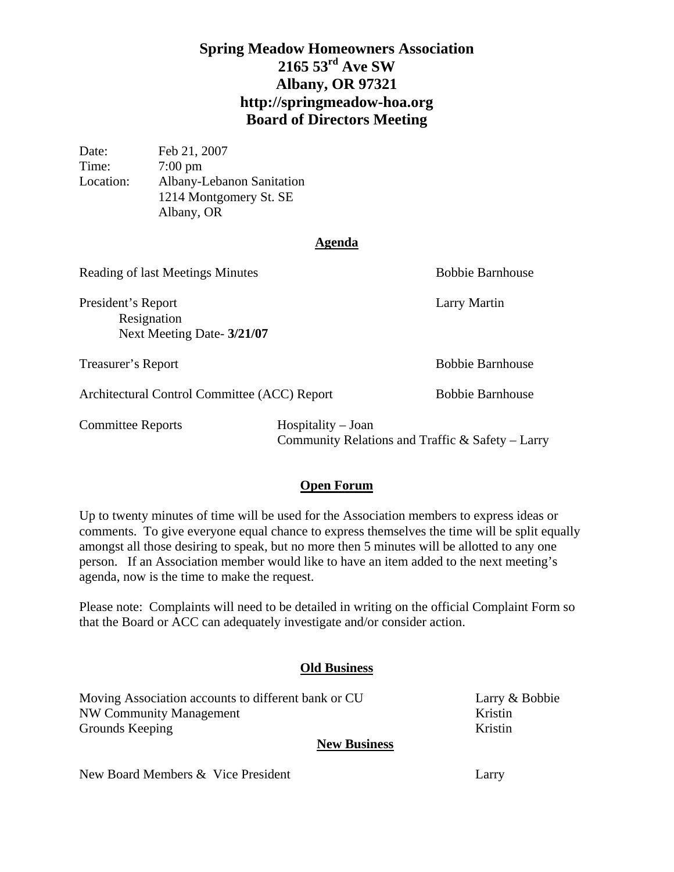# **Spring Meadow Homeowners Association 2165 53rd Ave SW Albany, OR 97321 http://springmeadow-hoa.org Board of Directors Meeting**

Date: Feb 21, 2007 Time: 7:00 pm Location: Albany-Lebanon Sanitation 1214 Montgomery St. SE Albany, OR

#### **Agenda**

| Reading of last Meetings Minutes                                |                                                                              | <b>Bobbie Barnhouse</b> |
|-----------------------------------------------------------------|------------------------------------------------------------------------------|-------------------------|
| President's Report<br>Resignation<br>Next Meeting Date- 3/21/07 |                                                                              | Larry Martin            |
| Treasurer's Report                                              |                                                                              | <b>Bobbie Barnhouse</b> |
| Architectural Control Committee (ACC) Report                    |                                                                              | <b>Bobbie Barnhouse</b> |
| <b>Committee Reports</b>                                        | $H$ ospitality – Joan<br>Community Relations and Traffic $\&$ Safety – Larry |                         |

### **Open Forum**

Up to twenty minutes of time will be used for the Association members to express ideas or comments. To give everyone equal chance to express themselves the time will be split equally amongst all those desiring to speak, but no more then 5 minutes will be allotted to any one person. If an Association member would like to have an item added to the next meeting's agenda, now is the time to make the request.

Please note: Complaints will need to be detailed in writing on the official Complaint Form so that the Board or ACC can adequately investigate and/or consider action.

### **Old Business**

Moving Association accounts to different bank or CU Larry & Bobbie NW Community Management Kristin Grounds Keeping Kristin **New Business**

New Board Members & Vice President Larry